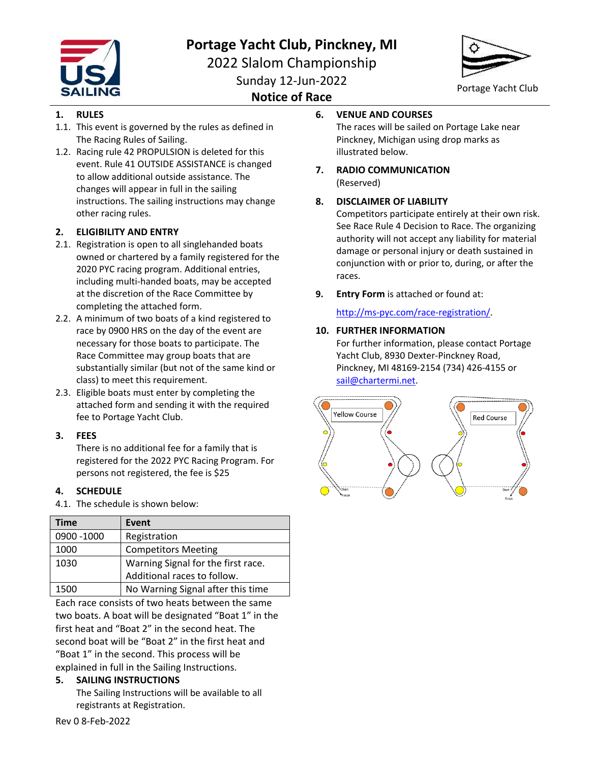

# **Portage Yacht Club, Pinckney, MI** 2022 Slalom Championship Sunday 12-Jun-2022 **Notice of Race**



#### **1. RULES**

- 1.1. This event is governed by the rules as defined in The Racing Rules of Sailing.
- 1.2. Racing rule 42 PROPULSION is deleted for this event. Rule 41 OUTSIDE ASSISTANCE is changed to allow additional outside assistance. The changes will appear in full in the sailing instructions. The sailing instructions may change other racing rules.

### **2. ELIGIBILITY AND ENTRY**

- 2.1. Registration is open to all singlehanded boats owned or chartered by a family registered for the 2020 PYC racing program. Additional entries, including multi-handed boats, may be accepted at the discretion of the Race Committee by completing the attached form.
- 2.2. A minimum of two boats of a kind registered to race by 0900 HRS on the day of the event are necessary for those boats to participate. The Race Committee may group boats that are substantially similar (but not of the same kind or class) to meet this requirement.
- 2.3. Eligible boats must enter by completing the attached form and sending it with the required fee to Portage Yacht Club.

### **3. FEES**

There is no additional fee for a family that is registered for the 2022 PYC Racing Program. For persons not registered, the fee is \$25

### **4. SCHEDULE**

4.1. The schedule is shown below:

| Event                              |
|------------------------------------|
| Registration                       |
| <b>Competitors Meeting</b>         |
| Warning Signal for the first race. |
| Additional races to follow.        |
| No Warning Signal after this time  |
|                                    |

Each race consists of two heats between the same two boats. A boat will be designated "Boat 1" in the first heat and "Boat 2" in the second heat. The second boat will be "Boat 2" in the first heat and "Boat 1" in the second. This process will be explained in full in the Sailing Instructions.

## **5. SAILING INSTRUCTIONS**

The Sailing Instructions will be available to all registrants at Registration.

#### **6. VENUE AND COURSES**

The races will be sailed on Portage Lake near Pinckney, Michigan using drop marks as illustrated below.

**7. RADIO COMMUNICATION** (Reserved)

#### **8. DISCLAIMER OF LIABILITY**

Competitors participate entirely at their own risk. See Race Rule 4 Decision to Race. The organizing authority will not accept any liability for material damage or personal injury or death sustained in conjunction with or prior to, during, or after the races.

**9. Entry Form** is attached or found at:

[http://ms-pyc.com/race-registration/.](http://ms-pyc.com/race-registration/)

### **10. FURTHER INFORMATION**

For further information, please contact Portage Yacht Club, 8930 Dexter-Pinckney Road, Pinckney, MI 48169-2154 (734) 426-4155 or [sail@chartermi.net.](mailto:sail@chartermi.net)